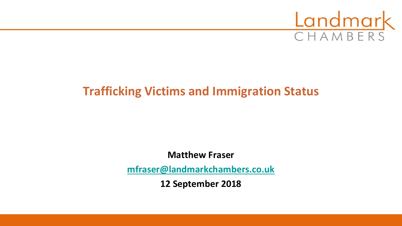

# **Trafficking Victims and Immigration Status**

**Matthew Fraser**

**[mfraser@landmarkchambers.co.uk](mailto:mfraser@landmarkchambers.co.uk)**

**12 September 2018**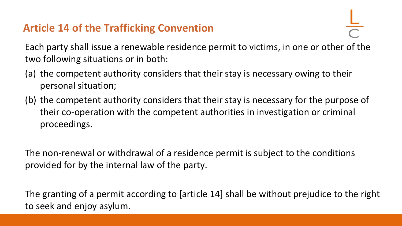# **Article 14 of the Trafficking Convention**

Each party shall issue a renewable residence permit to victims, in one or other of the two following situations or in both:

- (a) the competent authority considers that their stay is necessary owing to their personal situation;
- (b) the competent authority considers that their stay is necessary for the purpose of their co-operation with the competent authorities in investigation or criminal proceedings.

The non-renewal or withdrawal of a residence permit is subject to the conditions provided for by the internal law of the party.

The granting of a permit according to [article 14] shall be without prejudice to the right to seek and enjoy asylum.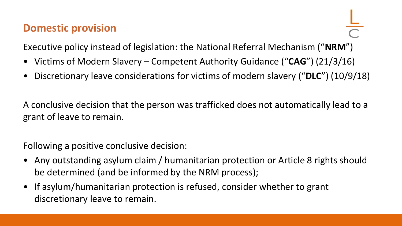#### **Domestic provision**

Executive policy instead of legislation: the National Referral Mechanism ("**NRM**")

- Victims of Modern Slavery Competent Authority Guidance ("**CAG**") (21/3/16)
- Discretionary leave considerations for victims of modern slavery ("**DLC**") (10/9/18)

A conclusive decision that the person was trafficked does not automatically lead to a grant of leave to remain.

Following a positive conclusive decision:

- Any outstanding asylum claim / humanitarian protection or Article 8 rights should be determined (and be informed by the NRM process);
- If asylum/humanitarian protection is refused, consider whether to grant discretionary leave to remain.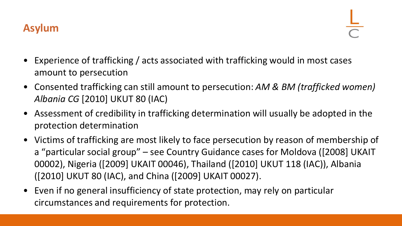

- Experience of trafficking / acts associated with trafficking would in most cases amount to persecution
- Consented trafficking can still amount to persecution: *AM & BM (trafficked women) Albania CG* [2010] UKUT 80 (IAC)
- Assessment of credibility in trafficking determination will usually be adopted in the protection determination
- Victims of trafficking are most likely to face persecution by reason of membership of a "particular social group" – see Country Guidance cases for Moldova ([2008] UKAIT 00002), Nigeria ([2009] UKAIT 00046), Thailand ([2010] UKUT 118 (IAC)), Albania ([2010] UKUT 80 (IAC), and China ([2009] UKAIT 00027).
- Even if no general insufficiency of state protection, may rely on particular circumstances and requirements for protection.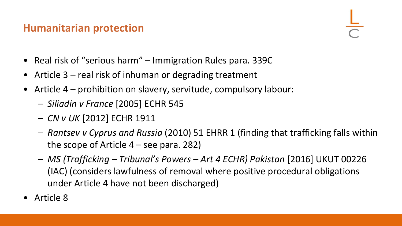## **Humanitarian protection**

- Real risk of "serious harm" Immigration Rules para. 339C
- Article 3 real risk of inhuman or degrading treatment
- Article 4 prohibition on slavery, servitude, compulsory labour:
	- *Siliadin v France* [2005] ECHR 545
	- *CN v UK* [2012] ECHR 1911
	- *Rantsev v Cyprus and Russia* (2010) 51 EHRR 1 (finding that trafficking falls within the scope of Article  $4$  – see para. 282)
	- *MS (Trafficking – Tribunal's Powers – Art 4 ECHR) Pakistan* [2016] UKUT 00226 (IAC) (considers lawfulness of removal where positive procedural obligations under Article 4 have not been discharged)
- Article 8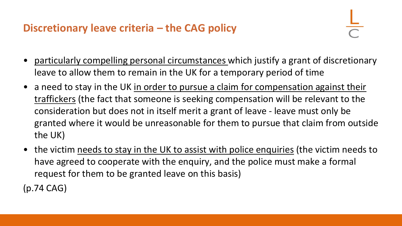# **Discretionary leave criteria – the CAG policy**

- particularly compelling personal circumstances which justify a grant of discretionary leave to allow them to remain in the UK for a temporary period of time
- a need to stay in the UK in order to pursue a claim for compensation against their traffickers (the fact that someone is seeking compensation will be relevant to the consideration but does not in itself merit a grant of leave - leave must only be granted where it would be unreasonable for them to pursue that claim from outside the UK)
- the victim needs to stay in the UK to assist with police enquiries (the victim needs to have agreed to cooperate with the enquiry, and the police must make a formal request for them to be granted leave on this basis)

(p.74 CAG)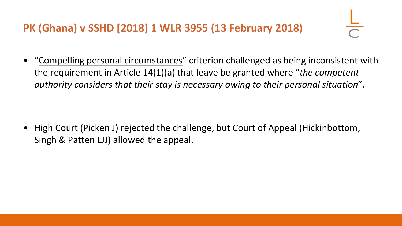# **PK (Ghana) v SSHD [2018] 1 WLR 3955 (13 February 2018)**

• "Compelling personal circumstances" criterion challenged as being inconsistent with the requirement in Article 14(1)(a) that leave be granted where "*the competent authority considers that their stay is necessary owing to their personal situation*".

• High Court (Picken J) rejected the challenge, but Court of Appeal (Hickinbottom, Singh & Patten LJJ) allowed the appeal.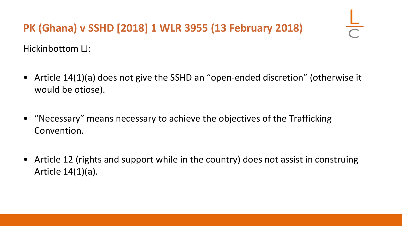# **PK (Ghana) v SSHD [2018] 1 WLR 3955 (13 February 2018)**

Hickinbottom LJ:

- Article 14(1)(a) does not give the SSHD an "open-ended discretion" (otherwise it would be otiose).
- "Necessary" means necessary to achieve the objectives of the Trafficking Convention.
- Article 12 (rights and support while in the country) does not assist in construing Article 14(1)(a).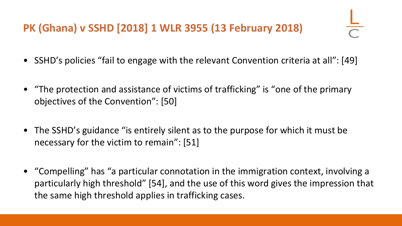# **PK (Ghana) v SSHD [2018] 1 WLR 3955 (13 February 2018)**

- SSHD's policies "fail to engage with the relevant Convention criteria at all": [49]
- "The protection and assistance of victims of trafficking" is "one of the primary objectives of the Convention": [50]
- The SSHD's guidance "is entirely silent as to the purpose for which it must be necessary for the victim to remain": [51]
- "Compelling" has "a particular connotation in the immigration context, involving a particularly high threshold" [54], and the use of this word gives the impression that the same high threshold applies in trafficking cases.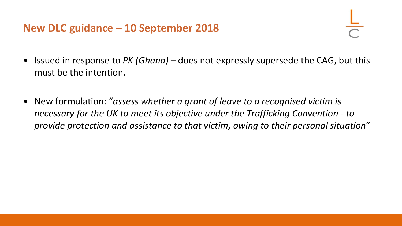#### **New DLC guidance – 10 September 2018**

- Issued in response to *PK (Ghana)*  does not expressly supersede the CAG, but this must be the intention.
- New formulation: "*assess whether a grant of leave to a recognised victim is necessary for the UK to meet its objective under the Trafficking Convention - to provide protection and assistance to that victim, owing to their personal situation*"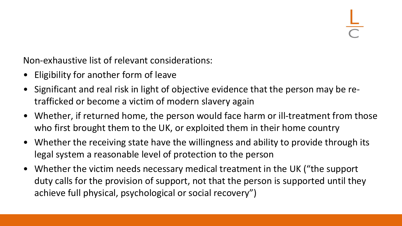Non-exhaustive list of relevant considerations:

- Eligibility for another form of leave
- Significant and real risk in light of objective evidence that the person may be retrafficked or become a victim of modern slavery again
- Whether, if returned home, the person would face harm or ill-treatment from those who first brought them to the UK, or exploited them in their home country
- Whether the receiving state have the willingness and ability to provide through its legal system a reasonable level of protection to the person
- Whether the victim needs necessary medical treatment in the UK ("the support duty calls for the provision of support, not that the person is supported until they achieve full physical, psychological or social recovery")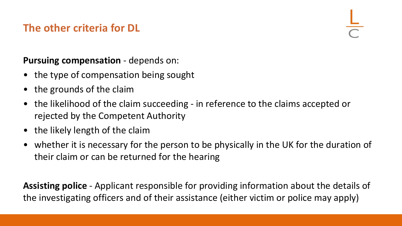# **The other criteria for DL**

**Pursuing compensation** - depends on:

- the type of compensation being sought
- the grounds of the claim
- the likelihood of the claim succeeding in reference to the claims accepted or rejected by the Competent Authority
- the likely length of the claim
- whether it is necessary for the person to be physically in the UK for the duration of their claim or can be returned for the hearing

**Assisting police** - Applicant responsible for providing information about the details of the investigating officers and of their assistance (either victim or police may apply)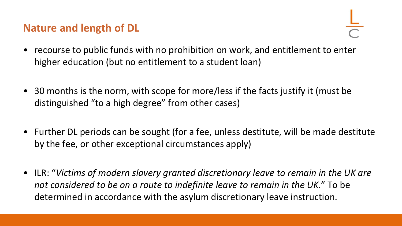## **Nature and length of DL**

- recourse to public funds with no prohibition on work, and entitlement to enter higher education (but no entitlement to a student loan)
- 30 months is the norm, with scope for more/less if the facts justify it (must be distinguished "to a high degree" from other cases)
- Further DL periods can be sought (for a fee, unless destitute, will be made destitute by the fee, or other exceptional circumstances apply)
- ILR: "*Victims of modern slavery granted discretionary leave to remain in the UK are not considered to be on a route to indefinite leave to remain in the UK*." To be determined in accordance with the asylum discretionary leave instruction.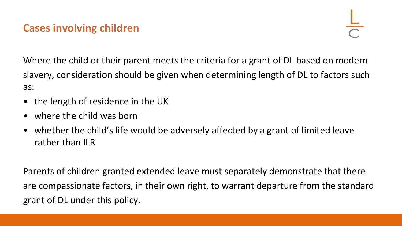# **Cases involving children**

Where the child or their parent meets the criteria for a grant of DL based on modern slavery, consideration should be given when determining length of DL to factors such as:

- the length of residence in the UK
- where the child was born
- whether the child's life would be adversely affected by a grant of limited leave rather than ILR

Parents of children granted extended leave must separately demonstrate that there are compassionate factors, in their own right, to warrant departure from the standard grant of DL under this policy.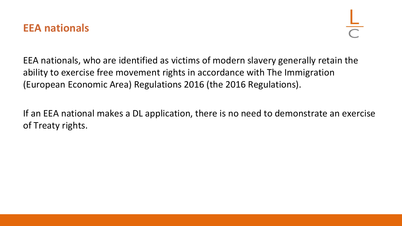#### **EEA nationals**

EEA nationals, who are identified as victims of modern slavery generally retain the ability to exercise free movement rights in accordance with The Immigration (European Economic Area) Regulations 2016 (the 2016 Regulations).

If an EEA national makes a DL application, there is no need to demonstrate an exercise of Treaty rights.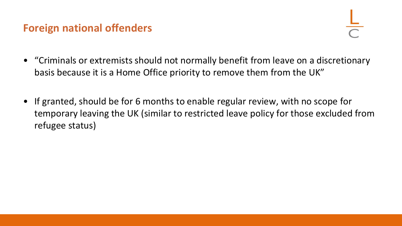## **Foreign national offenders**

- "Criminals or extremists should not normally benefit from leave on a discretionary basis because it is a Home Office priority to remove them from the UK"
- If granted, should be for 6 months to enable regular review, with no scope for temporary leaving the UK (similar to restricted leave policy for those excluded from refugee status)